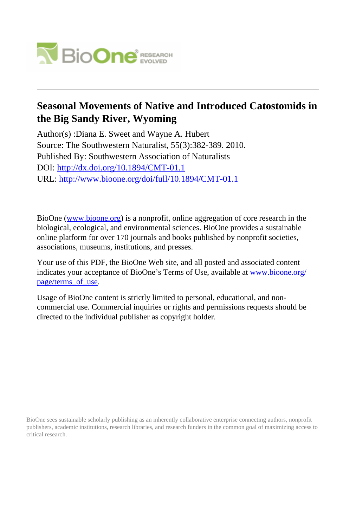

## **Seasonal Movements of Native and Introduced Catostomids in the Big Sandy River, Wyoming**

Author(s) :Diana E. Sweet and Wayne A. Hubert Source: The Southwestern Naturalist, 55(3):382-389. 2010. Published By: Southwestern Association of Naturalists DOI:<http://dx.doi.org/10.1894/CMT-01.1> URL: <http://www.bioone.org/doi/full/10.1894/CMT-01.1>

BioOne [\(www.bioone.org\)](http://www.bioone.org) is a nonprofit, online aggregation of core research in the biological, ecological, and environmental sciences. BioOne provides a sustainable online platform for over 170 journals and books published by nonprofit societies, associations, museums, institutions, and presses.

Your use of this PDF, the BioOne Web site, and all posted and associated content indicates your acceptance of BioOne's Terms of Use, available at [www.bioone.org/](http://www.bioone.org/page/terms_of_use) [page/terms\\_of\\_use](http://www.bioone.org/page/terms_of_use).

Usage of BioOne content is strictly limited to personal, educational, and noncommercial use. Commercial inquiries or rights and permissions requests should be directed to the individual publisher as copyright holder.

BioOne sees sustainable scholarly publishing as an inherently collaborative enterprise connecting authors, nonprofit publishers, academic institutions, research libraries, and research funders in the common goal of maximizing access to critical research.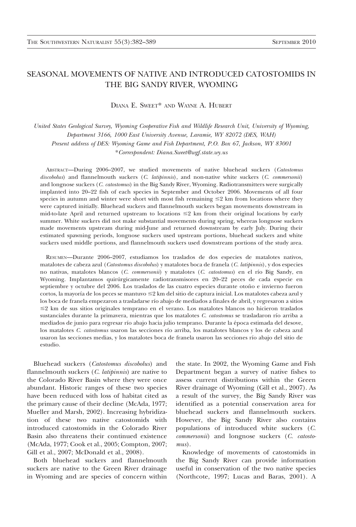## SEASONAL MOVEMENTS OF NATIVE AND INTRODUCED CATOSTOMIDS IN THE BIG SANDY RIVER, WYOMING

DIANA E. SWEET\* AND WAYNE A. HUBERT

United States Geological Survey, Wyoming Cooperative Fish and Wildlife Research Unit, University of Wyoming, Department 3166, 1000 East University Avenue, Laramie, WY 82072 (DES, WAH) Present address of DES: Wyoming Game and Fish Department, P.O. Box 67, Jackson, WY 83001 \*Correspondent: Diana.Sweet@wgf.state.wy.us

ABSTRACT—During 2006–2007, we studied movements of native bluehead suckers (Catostomus discobolus) and flannelmouth suckers (C. latipinnis), and non-native white suckers (C. commersonii) and longnose suckers (C. catostomus) in the Big Sandy River, Wyoming. Radiotransmitters were surgically implanted into 20–22 fish of each species in September and October 2006. Movements of all four species in autumn and winter were short with most fish remaining  $\leq 2$  km from locations where they were captured initially. Bluehead suckers and flannelmouth suckers began movements downstream in mid-to-late April and returned upstream to locations  $\leq 2$  km from their original locations by early summer. White suckers did not make substantial movements during spring, whereas longnose suckers made movements upstream during mid-June and returned downstream by early July. During their estimated spawning periods, longnose suckers used upstream portions, bluehead suckers and white suckers used middle portions, and flannelmouth suckers used downstream portions of the study area.

RESUMEN—Durante 2006–2007, estudiamos los traslados de dos especies de matalotes nativos, matalotes de cabeza azul (Catostomus discobolus) y matalotes boca de franela (C. latipinnis), y dos especies no nativas, matalotes blancos (C. commersonii) y matalotes (C. catostomus) en el río Big Sandy, en Wyoming. Implantamos quirúrgicamente radiotransmisores en 20–22 peces de cada especie en septiembre y octubre del 2006. Los traslados de las cuatro especies durante otoño e invierno fueron cortos, la mayoría de los peces se mantuvo  $\leq 2$  km del sitio de captura inicial. Los matalotes cabeza azul y los boca de franela empezaron a trasladarse rı´o abajo de mediados a finales de abril, y regresaron a sitios  $\leq$ 2 km de sus sitios originales temprano en el verano. Los matalotes blancos no hicieron traslados sustanciales durante la primavera, mientras que los matalotes C. catostomus se trasladaron río arriba a mediados de junio para regresar río abajo hacia julio temprano. Durante la época estimada del desove, los matalotes C. catostomus usaron las secciones río arriba, los matalotes blancos y los de cabeza azul usaron las secciones medias, y los matalotes boca de franela usaron las secciones río abajo del sitio de estudio.

Bluehead suckers (Catostomus discobolus) and flannelmouth suckers (C. latipinnis) are native to the Colorado River Basin where they were once abundant. Historic ranges of these two species have been reduced with loss of habitat cited as the primary cause of their decline (McAda, 1977; Mueller and Marsh, 2002). Increasing hybridization of these two native catostomids with introduced catostomids in the Colorado River Basin also threatens their continued existence (McAda, 1977; Cook et al., 2005; Compton, 2007; Gill et al., 2007; McDonald et al., 2008).

Both bluehead suckers and flannelmouth suckers are native to the Green River drainage in Wyoming and are species of concern within

the state. In 2002, the Wyoming Game and Fish Department began a survey of native fishes to assess current distributions within the Green River drainage of Wyoming (Gill et al., 2007). As a result of the survey, the Big Sandy River was identified as a potential conservation area for bluehead suckers and flannelmouth suckers. However, the Big Sandy River also contains populations of introduced white suckers (C. commersonii) and longnose suckers (C. catostomus).

Knowledge of movements of catostomids in the Big Sandy River can provide information useful in conservation of the two native species (Northcote, 1997; Lucas and Baras, 2001). A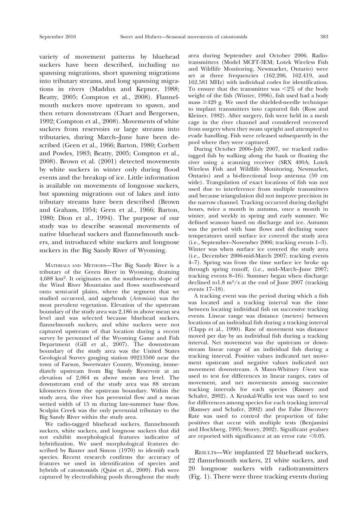variety of movement patterns by bluehead suckers have been described, including no spawning migrations, short spawning migrations into tributary streams, and long spawning migrations in rivers (Maddux and Kepner, 1988; Beatty, 2005; Compton et al., 2008). Flannelmouth suckers move upstream to spawn, and then return downstream (Chart and Bergersen, 1992; Compton et al., 2008). Movements of white suckers from reservoirs or large streams into tributaries, during March–June have been described (Geen et al., 1966; Barton, 1980; Corbett and Powles, 1983; Beatty, 2005; Compton et al., 2008). Brown et al. (2001) detected movements by white suckers in winter only during flood events and the breakup of ice. Little information is available on movements of longnose suckers, but spawning migrations out of lakes and into tributary streams have been described (Brown and Graham, 1954; Geen et al., 1966; Barton, 1980; Dion et al., 1994). The purpose of our study was to describe seasonal movements of native bluehead suckers and flannelmouth suckers, and introduced white suckers and longnose suckers in the Big Sandy River of Wyoming.

MATERIALS AND METHODS—The Big Sandy River is a tributary of the Green River in Wyoming, draining 4,688 km2. It originates on the southwestern slope of the Wind River Mountains and flows southwestward onto semi-arid plains, where the segment that we studied occurred, and sagebrush (Artemisia) was the most prevalent vegetation. Elevation of the upstream boundary of the study area was 2,186 m above mean sea level and was selected because bluehead suckers, flannelmouth suckers, and white suckers were not captured upstream of that location during a recent survey by personnel of the Wyoming Game and Fish Department (Gill et al., 2007). The downstream boundary of the study area was the United States Geological Survey gauging station 09213500 near the town of Farson, Sweetwater County, Wyoming, immediately upstream from Big Sandy Reservoir at an elevation of 2,064 m above mean sea level. The downstream end of the study area was 88 stream kilometers from the upstream boundary. Within the study area, the river has perennial flow and a mean wetted width of 15 m during late-summer base flow. Sculpin Creek was the only perennial tributary to the Big Sandy River within the study area.

We radio-tagged bluehead suckers, flannelmouth suckers, white suckers, and longnose suckers that did not exhibit morphological features indicative of hybridization. We used morphological features described by Baxter and Simon (1970) to identify each species. Recent research confirms the accuracy of features we used in identification of species and hybrids of catostomids (Quist et al., 2009). Fish were captured by electrofishing pools throughout the study area during September and October 2006. Radiotransmitters (Model MCFT-3EM; Lotek Wireless Fish and Wildlife Monitoring, Newmarket, Ontario) were set at three frequencies (162.206, 162.419, and 162.581 MHz) with individual codes for identification. To ensure that the transmitter was  $\langle 2\% \rangle$  of the body weight of the fish (Winter, 1996), fish used had a body mass  $\geq$ 420 g. We used the shielded-needle technique to implant transmitters into captured fish (Ross and Kleiner, 1982). After surgery, fish were held in a mesh cage in the river channel and considered recovered from surgery when they swam upright and attempted to evade handling. Fish were released subsequently in the pool where they were captured.

During October 2006–July 2007, we tracked radiotagged fish by walking along the bank or floating the river using a scanning receiver (SRX 400A; Lotek Wireless Fish and Wildlife Monitoring, Newmarket, Ontario) and a bi-directional loop antenna (50 cm wide). Trangulation of exact locations of fish was not used due to interference from multiple transmitters and because triangulation did not improve precision in the narrow channel. Tracking occurred during daylight hours, twice a month in autumn, once a month in winter, and weekly in spring and early summer. We defined seasons based on discharge and ice. Autumn was the period with base flows and declining water temperatures until surface ice covered the study area (i.e., September–November 2006; tracking events 1–3). Winter was when surface ice covered the study area (i.e., December 2006-mid-March 2007; tracking events 4–7). Spring was from the time surface ice broke up through spring runoff, (i.e., mid–March–June 2007; tracking events 8–16). Summer began when discharge declined to1.8 m3/s at the end of June 2007 (tracking events 17–18).

A tracking event was the period during which a fish was located and a tracking interval was the time between locating individual fish on successive tracking events. Linear range was distance (meters) between locations of an individual fish during a tracking interval (Clapp et al., 1990). Rate of movement was distance moved per day by an individual fish during a tracking interval. Net movement was the upstream or downstream linear range of an individual fish during a tracking interval. Positive values indicated net movement upstream and negative values indicated net movement downstream. A Mann-Whitney U-test was used to test for differences in linear ranges, rates of movement, and net movements among successive tracking intervals for each species (Ramsey and Schafer, 2002). A Kruskal-Wallis test was used to test for differences among species for each tracking interval (Ramsey and Schafer, 2002) and the False Discovery Rate was used to control the proportion of false positives that occur with multiple tests (Benjamini and Hochberg, 1995; Storey, 2002). Significant  $q$ -values are reported with significance at an error rate  $< 0.05$ .

RESULTS—We implanted 22 bluehead suckers, 22 flannelmouth suckers, 21 white suckers, and 20 longnose suckers with radiotransmitters (Fig. 1). There were three tracking events during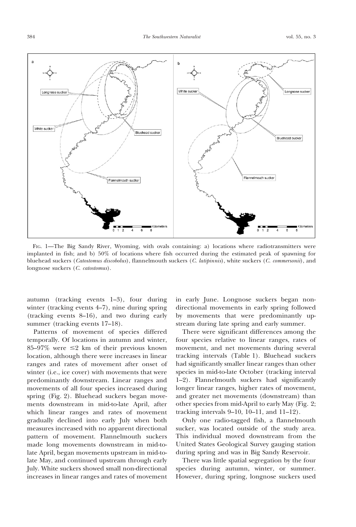

FIG. 1-The Big Sandy River, Wyoming, with ovals containing: a) locations where radiotransmitters were implanted in fish; and b) 50% of locations where fish occurred during the estimated peak of spawning for bluehead suckers (Catostomus discobolus), flannelmouth suckers (C. latipinnis), white suckers (C. commersonii), and longnose suckers (C. catostomus).

autumn (tracking events 1–3), four during winter (tracking events 4–7), nine during spring (tracking events 8–16), and two during early summer (tracking events 17–18).

Patterns of movement of species differed temporally. Of locations in autumn and winter, 85–97% were  $\leq 2$  km of their previous known location, although there were increases in linear ranges and rates of movement after onset of winter (i.e., ice cover) with movements that were predominantly downstream. Linear ranges and movements of all four species increased during spring (Fig. 2). Bluehead suckers began movements downstream in mid-to-late April, after which linear ranges and rates of movement gradually declined into early July when both measures increased with no apparent directional pattern of movement. Flannelmouth suckers made long movements downstream in mid-tolate April, began movements upstream in mid-tolate May, and continued upstream through early July. White suckers showed small non-directional increases in linear ranges and rates of movement

in early June. Longnose suckers began nondirectional movements in early spring followed by movements that were predominantly upstream during late spring and early summer.

There were significant differences among the four species relative to linear ranges, rates of movement, and net movements during several tracking intervals (Table 1). Bluehead suckers had significantly smaller linear ranges than other species in mid-to-late October (tracking interval 1–2). Flannelmouth suckers had significantly longer linear ranges, higher rates of movement, and greater net movements (downstream) than other species from mid-April to early May (Fig. 2; tracking intervals 9–10, 10–11, and 11–12).

Only one radio-tagged fish, a flannelmouth sucker, was located outside of the study area. This individual moved downstream from the United States Geological Survey gauging station during spring and was in Big Sandy Reservoir.

There was little spatial segregation by the four species during autumn, winter, or summer. However, during spring, longnose suckers used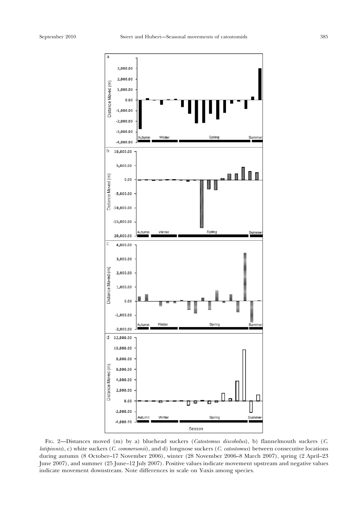

FIG. 2-Distances moved (m) by a) bluehead suckers (Catostomus discobolus), b) flannelmouth suckers (C. latipinnis), c) white suckers (C. commersonii), and d) longnose suckers (C. catostomus) between consecutive locations during autumn (8 October–17 November 2006), winter (28 November 2006–8 March 2007), spring (2 April–23 June 2007), and summer (25 June–12 July 2007). Positive values indicate movement upstream and negative values indicate movement downstream. Note differences in scale on Y-axis among species.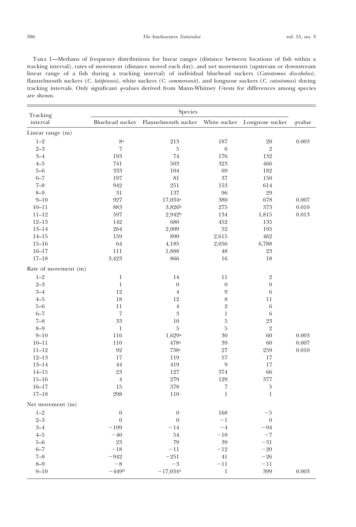TABLE 1—Medians of frequency distributions for linear ranges (distance between locations of fish within a tracking interval), rates of movement (distance moved each day), and net movements (upstream or downstream linear range of a fish during a tracking interval) of individual bluehead suckers (Catostomus discobolus), flannelmouth suckers (C. latipinnis), white suckers (C. commersonii), and longnose suckers (C. catostomus) during tracking intervals. Only significant q-values derived from Mann-Whitney U-tests for differences among species are shown.

| Tracking<br>interval | Species             |                        |                  |                  |            |
|----------------------|---------------------|------------------------|------------------|------------------|------------|
|                      | Bluehead sucker     | Flannelmouth sucker    | White sucker     | Longnose sucker  | $q$ -value |
| Linear range (m)     |                     |                        |                  |                  |            |
| $1 - 2$              | 8a                  | 213                    | 187              | 20               | 0.003      |
| $2 - 3$              | $\scriptstyle\rm 7$ | $\overline{5}$         | $\,6\,$          | $\overline{2}$   |            |
| $3 - 4$              | 193                 | 74                     | 176              | 132              |            |
| $4 - 5$              | 741                 | 503                    | 323              | 466              |            |
| $5 - 6$              | 333                 | 104                    | 69               | 182              |            |
| $6 - 7$              | 197                 | $81\,$                 | $37\,$           | 150              |            |
| $7 - 8$              | 942                 | 251                    | 153              | 614              |            |
| $8 - 9$              | 31                  | 137                    | 96               | 29               |            |
| $9 - 10$             | 927                 | $17,034$ <sup>a</sup>  | 380              | 678              | 0.007      |
| $10 - 11$            | 883                 | 3,826b                 | 275              | 373              | 0.010      |
| $11 - 12$            | 597                 | 2,942b                 | 134              | 1,815            | 0.013      |
| $12 - 13$            | 142                 | 680                    | 452              | 135              |            |
| $13 - 14$            | 264                 | 2,009                  | 52               | 105              |            |
| $14 - 15$            | 159                 | 890                    | 2,615            | 462              |            |
| $15 - 16$            | 64                  | 4,185                  | 2,056            | 6,788            |            |
| $16 - 17$            | 111                 | 1,888                  | 48               | 23               |            |
| $17 - 18$            | 3,423               | 866                    | 16               | 18               |            |
| Rate of movement (m) |                     |                        |                  |                  |            |
| $1 - 2$              | $\mathbf{1}$        | 14                     | 11               | $\overline{2}$   |            |
| $2 - 3$              | $\mathbf{1}$        | $\boldsymbol{0}$       | $\boldsymbol{0}$ | $\boldsymbol{0}$ |            |
| $3 - 4$              | 12                  | $\overline{4}$         | 9                | 6                |            |
| $4 - 5$              | 18                  | 12                     | 8                | 11               |            |
| $5 - 6$              | 11                  | $\overline{4}$         | $\overline{2}$   | 6                |            |
| $6 - 7$              | $\scriptstyle\rm 7$ | 3                      | $\mathbf{1}$     | $\,6\,$          |            |
| $7 - 8$              | 33                  | 10                     | $\overline{5}$   | 23               |            |
| $8 - 9$              | $\,1$               | $\rm 5$                | $\rm 5$          | $\sqrt{2}$       |            |
| $9 - 10$             | 116                 | 1,629a                 | $30\,$           | 60               | 0.003      |
| $10 - 11$            | 110                 | 478a                   | 39               | 60               | 0.007      |
| $11 - 12$            | 92                  | 738c                   | 27               | 259              | 0.010      |
| $12 - 13$            | 17                  | 119                    | 57               | 17               |            |
| $13 - 14$            | 44                  | 419                    | $\boldsymbol{9}$ | 17               |            |
| $14 - 15$            | 23                  | 127                    | 374              | 66               |            |
| $15 - 16$            | $\overline{4}$      | 279                    | 129              | 377              |            |
| $16 - 17$            | 15                  | 378                    | 7                | $\bf 5$          |            |
| $17 - 18$            | 298                 | 110                    | $\mathbf{1}$     | $\mathbf{1}$     |            |
| Net movement (m)     |                     |                        |                  |                  |            |
| $1 - 2$              | $\boldsymbol{0}$    | $\boldsymbol{0}$       | 168              | $-5$             |            |
| $2 - 3$              | $\boldsymbol{0}$    | $\boldsymbol{0}$       | $-1$             | $\boldsymbol{0}$ |            |
| $3 - 4$              | $-109$              | $-14$                  | $-4\,$           | $-94$            |            |
| $4 - 5$              | $-40$               | 54                     | $-10$            | $-7$             |            |
| $5 - 6$              | 23                  | 79                     | 39               | $-31$            |            |
| $6 - 7$              | $-18$               | $-11$                  | $-12$            | $-20$            |            |
| $7 - 8$              | $-942$              | $-251$                 | 41               | $-26$            |            |
| $8 - 9$              | $-8$                | $-3$                   | $-11$            | $-11$            |            |
| $9 - 10$             | $-449d$             | $-17,034$ <sup>a</sup> | $\,1$            | 399              | 0.003      |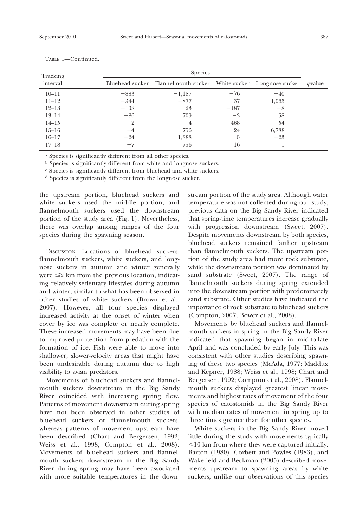| Tracking  | Species        |                                                                  |        |       |         |
|-----------|----------------|------------------------------------------------------------------|--------|-------|---------|
| interval  |                | Bluehead sucker Flannelmouth sucker White sucker Longnose sucker |        |       | a-value |
| $10 - 11$ | $-883$         | $-1,187$                                                         | $-76$  | $-40$ |         |
| $11 - 12$ | $-344$         | $-877$                                                           | 37     | 1,065 |         |
| $12 - 13$ | $-108$         | 23                                                               | $-187$ | $-8$  |         |
| $13 - 14$ | $-86$          | 709                                                              | $-3$   | 58    |         |
| $14 - 15$ | $\overline{2}$ | $\overline{4}$                                                   | 468    | 54    |         |
| $15 - 16$ | $-4$           | 756                                                              | 24     | 6,788 |         |
| $16 - 17$ | $-24$          | 1,888                                                            | 5      | $-23$ |         |
| $17 - 18$ | $-7$           | 756                                                              | 16     |       |         |

TABLE 1—Continued.

a Species is significantly different from all other species.

<sup>b</sup> Species is significantly different from white and longnose suckers.

c Species is significantly different from bluehead and white suckers.

d Species is significantly different from the longnose sucker.

the upstream portion, bluehead suckers and white suckers used the middle portion, and flannelmouth suckers used the downstream portion of the study area (Fig. 1). Nevertheless, there was overlap among ranges of the four species during the spawning season.

DISCUSSION—Locations of bluehead suckers, flannelmouth suckers, white suckers, and longnose suckers in autumn and winter generally were  $\leq$  km from the previous location, indicating relatively sedentary lifestyles during autumn and winter, similar to what has been observed in other studies of white suckers (Brown et al., 2007). However, all four species displayed increased activity at the onset of winter when cover by ice was complete or nearly complete. These increased movements may have been due to improved protection from predation with the formation of ice. Fish were able to move into shallower, slower-velocity areas that might have been undesirable during autumn due to high visibility to avian predators.

Movements of bluehead suckers and flannelmouth suckers downstream in the Big Sandy River coincided with increasing spring flow. Patterns of movement downstream during spring have not been observed in other studies of bluehead suckers or flannelmouth suckers, whereas patterns of movement upstream have been described (Chart and Bergersen, 1992; Weiss et al., 1998; Compton et al., 2008). Movements of bluehead suckers and flannelmouth suckers downstream in the Big Sandy River during spring may have been associated with more suitable temperatures in the downstream portion of the study area. Although water temperature was not collected during our study, previous data on the Big Sandy River indicated that spring-time temperatures increase gradually with progression downstream (Sweet, 2007). Despite movements downstream by both species, bluehead suckers remained farther upstream than flannelmouth suckers. The upstream portion of the study area had more rock substrate, while the downstream portion was dominated by sand substrate (Sweet, 2007). The range of flannelmouth suckers during spring extended into the downstream portion with predominately sand substrate. Other studies have indicated the importance of rock substrate to bluehead suckers (Compton, 2007; Bower et al., 2008).

Movements by bluehead suckers and flannelmouth suckers in spring in the Big Sandy River indicated that spawning began in mid-to-late April and was concluded by early July. This was consistent with other studies describing spawning of these two species (McAda, 1977; Maddux and Kepner, 1988; Weiss et al., 1998; Chart and Bergersen, 1992; Compton et al., 2008). Flannelmouth suckers displayed greatest linear movements and highest rates of movement of the four species of catostomids in the Big Sandy River with median rates of movement in spring up to three times greater than for other species.

White suckers in the Big Sandy River moved little during the study with movements typically ,10 km from where they were captured initially. Barton (1980), Corbett and Powles (1983), and Wakefield and Beckman (2005) described movements upstream to spawning areas by white suckers, unlike our observations of this species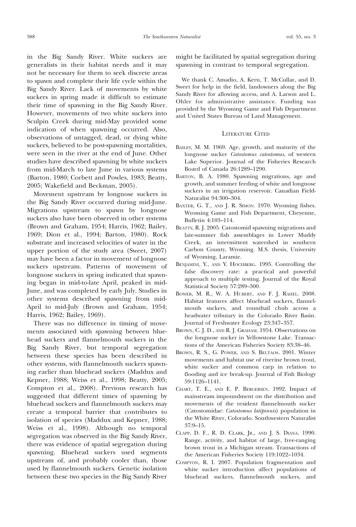in the Big Sandy River. White suckers are generalists in their habitat needs and it may not be necessary for them to seek discrete areas to spawn and complete their life cycle within the Big Sandy River. Lack of movements by white suckers in spring made it difficult to estimate their time of spawning in the Big Sandy River. However, movements of two white suckers into Sculpin Creek during mid-May provided some indication of when spawning occurred. Also, observations of untagged, dead, or dying white suckers, believed to be post-spawning mortalities, were seen in the river at the end of June. Other studies have described spawning by white suckers from mid-March to late June in various systems (Barton, 1980; Corbett and Powles, 1983; Beatty, 2005; Wakefield and Beckman, 2005).

Movement upstream by longnose suckers in the Big Sandy River occurred during mid-June. Migrations upstream to spawn by longnose suckers also have been observed in other systems (Brown and Graham, 1954; Harris, 1962; Bailey, 1969; Dion et al., 1994; Barton, 1980). Rock substrate and increased velocities of water in the upper portion of the study area (Sweet, 2007) may have been a factor in movement of longnose suckers upstream. Patterns of movement of longnose suckers in spring indicated that spawning began in mid-to-late April, peaked in mid-June, and was completed by early July. Studies in other systems described spawning from mid-April to mid-July (Brown and Graham, 1954; Harris, 1962; Bailey, 1969).

There was no difference in timing of movements associated with spawning between bluehead suckers and flannelmouth suckers in the Big Sandy River, but temporal segregation between these species has been described in other systems, with flannelmouth suckers spawning earlier than bluehead suckers (Maddux and Kepner, 1988; Weiss et al., 1998; Beatty, 2005; Compton et al., 2008). Previous research has suggested that different times of spawning by bluehead suckers and flannelmouth suckers may create a temporal barrier that contributes to isolation of species (Maddux and Kepner, 1988; Weiss et al., 1998). Although no temporal segregation was observed in the Big Sandy River, there was evidence of spatial segregation during spawning. Bluehead suckers used segments upstream of, and probably cooler than, those used by flannelmouth suckers. Genetic isolation between these two species in the Big Sandy River

might be facilitated by spatial segregation during spawning in contrast to temporal segregation.

We thank C. Amadio, A. Kern, T. McCullar, and D. Sweet for help in the field, landowners along the Big Sandy River for allowing access, and A. Larson and L. Ohler for administrative assistance. Funding was provided by the Wyoming Game and Fish Department and United States Bureau of Land Management.

## LITERATURE CITED

- BAILEY, M. M. 1969. Age, growth, and maturity of the longnose sucker Catostomus catostomus, of western Lake Superior. Journal of the Fisheries Research Board of Canada 26:1289–1290.
- BARTON, B. A. 1980. Spawning migrations, age and growth, and summer feeding of white and longnose suckers in an irrigation reservoir. Canadian Field-Naturalist 94:300–304.
- BAXTER, G. T., AND J. R. SIMON. 1970. Wyoming fishes. Wyoming Game and Fish Department, Cheyenne, Bulletin 4:103–114.
- BEATTY, R. J. 2005. Catostomid spawning migrations and late-summer fish assemblages in Lower Muddy Creek, an intermittent watershed in southern Carbon County, Wyoming. M.S. thesis, University of Wyoming, Laramie.
- BENJAMINI, Y., AND Y. HOCHBERG. 1995. Controlling the false discovery rate: a practical and powerful approach to multiple testing. Journal of the Royal Statistical Society 57:289–300.
- BOWER, M. R., W. A. HUBERT, AND F. J. RAHEL. 2008. Habitat features affect bluehead suckers, flannelmouth suckers, and roundtail chub across a headwater tributary in the Colorado River Basin. Journal of Freshwater Ecology 23:347–357.
- BROWN, C. J. D., AND R. J. GRAHAM. 1954. Observations on the longnose sucker in Yellowstone Lake. Transactions of the American Fisheries Society 83:38–46.
- BROWN, R. S., G. POWER, AND S. BELTAOS. 2001. Winter movements and habitat use of riverine brown trout, white sucker and common carp in relation to flooding and ice break-up. Journal of Fish Biology 59:1126–1141.
- CHART, T. E., AND E. P. BERGERSEN. 1992. Impact of mainstream impoundment on the distribution and movements of the resident flannelmouth sucker (Catostomidae: Catostomus latipinnis) population in the White River, Colorado. Southwestern Naturalist 37:9–15.
- CLAPP, D. F., R. D. CLARK, JR., AND J. S. DIANA. 1990. Range, activity, and habitat of large, free-ranging brown trout in a Michigan stream. Transactions of the American Fisheries Society 119:1022–1034.
- COMPTON, R. I. 2007. Population fragmentation and white sucker introduction affect populations of bluehead suckers, flannelmouth suckers, and